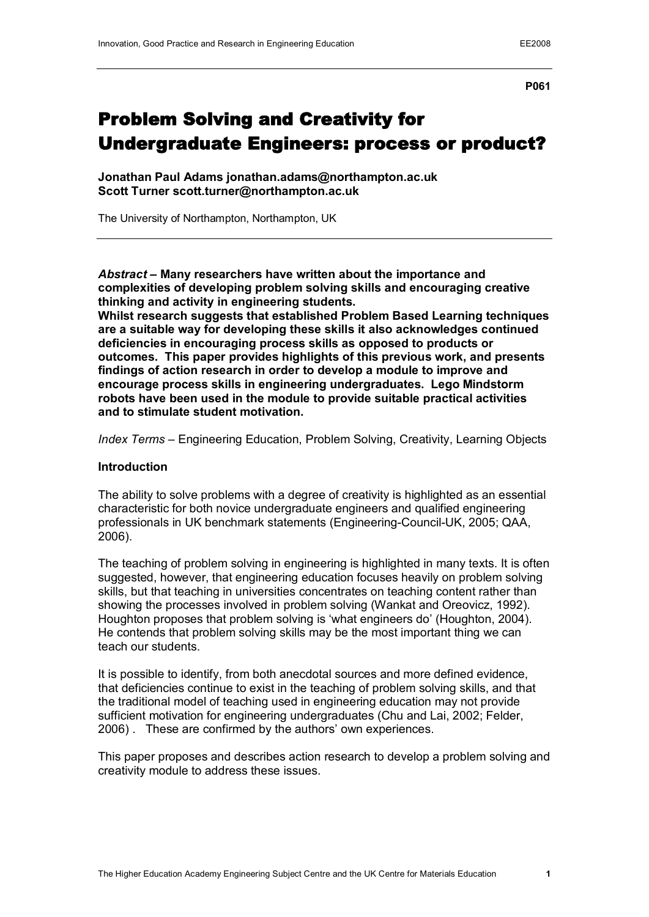**P061**

# Problem Solving and Creativity for Undergraduate Engineers: process or product?

**Jonathan Paul Adams jonathan.adams@northampton.ac.uk Scott Turner scott.turner@northampton.ac.uk**

The University of Northampton, Northampton, UK

*Abstract* **– Many researchers have written about the importance and complexities of developing problem solving skills and encouraging creative thinking and activity in engineering students.** 

**Whilst research suggests that established Problem Based Learning techniques are a suitable way for developing these skills it also acknowledges continued deficiencies in encouraging process skills as opposed to products or outcomes. This paper provides highlights of this previous work, and presents findings of action research in order to develop a module to improve and encourage process skills in engineering undergraduates. Lego Mindstorm robots have been used in the module to provide suitable practical activities and to stimulate student motivation.**

*Index Terms* – Engineering Education, Problem Solving, Creativity, Learning Objects

#### **Introduction**

The ability to solve problems with a degree of creativity is highlighted as an essential characteristic for both novice undergraduate engineers and qualified engineering professionals in UK benchmark statements (Engineering-Council-UK, 2005; QAA, 2006).

The teaching of problem solving in engineering is highlighted in many texts. It is often suggested, however, that engineering education focuses heavily on problem solving skills, but that teaching in universities concentrates on teaching content rather than showing the processes involved in problem solving (Wankat and Oreovicz, 1992). Houghton proposes that problem solving is 'what engineers do' (Houghton, 2004). He contends that problem solving skills may be the most important thing we can teach our students.

It is possible to identify, from both anecdotal sources and more defined evidence, that deficiencies continue to exist in the teaching of problem solving skills, and that the traditional model of teaching used in engineering education may not provide sufficient motivation for engineering undergraduates (Chu and Lai, 2002; Felder, 2006) . These are confirmed by the authors' own experiences.

This paper proposes and describes action research to develop a problem solving and creativity module to address these issues.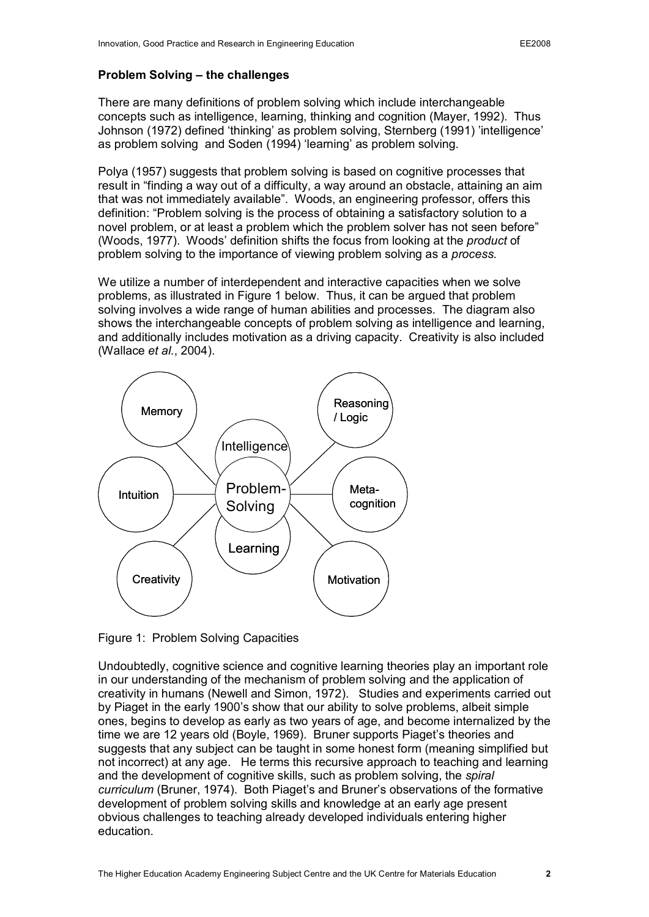### **Problem Solving – the challenges**

There are many definitions of problem solving which include interchangeable concepts such as intelligence, learning, thinking and cognition (Mayer, 1992). Thus Johnson (1972) defined 'thinking' as problem solving, Sternberg (1991) 'intelligence' as problem solving and Soden (1994) 'learning' as problem solving.

Polya (1957) suggests that problem solving is based on cognitive processes that result in "finding a way out of a difficulty, a way around an obstacle, attaining an aim that was not immediately available". Woods, an engineering professor, offers this definition: "Problem solving is the process of obtaining a satisfactory solution to a novel problem, or at least a problem which the problem solver has not seen before" (Woods, 1977). Woods' definition shifts the focus from looking at the *product* of problem solving to the importance of viewing problem solving as a *process*.

We utilize a number of interdependent and interactive capacities when we solve problems, as illustrated in Figure 1 below. Thus, it can be argued that problem solving involves a wide range of human abilities and processes. The diagram also shows the interchangeable concepts of problem solving as intelligence and learning, and additionally includes motivation as a driving capacity. Creativity is also included (Wallace *et al.*, 2004).



Figure 1: Problem Solving Capacities

Undoubtedly, cognitive science and cognitive learning theories play an important role in our understanding of the mechanism of problem solving and the application of creativity in humans (Newell and Simon, 1972). Studies and experiments carried out by Piaget in the early 1900's show that our ability to solve problems, albeit simple ones, begins to develop as early as two years of age, and become internalized by the time we are 12 years old (Boyle, 1969). Bruner supports Piaget's theories and suggests that any subject can be taught in some honest form (meaning simplified but not incorrect) at any age. He terms this recursive approach to teaching and learning and the development of cognitive skills, such as problem solving, the *spiral curriculum* (Bruner, 1974). Both Piaget's and Bruner's observations of the formative development of problem solving skills and knowledge at an early age present obvious challenges to teaching already developed individuals entering higher education.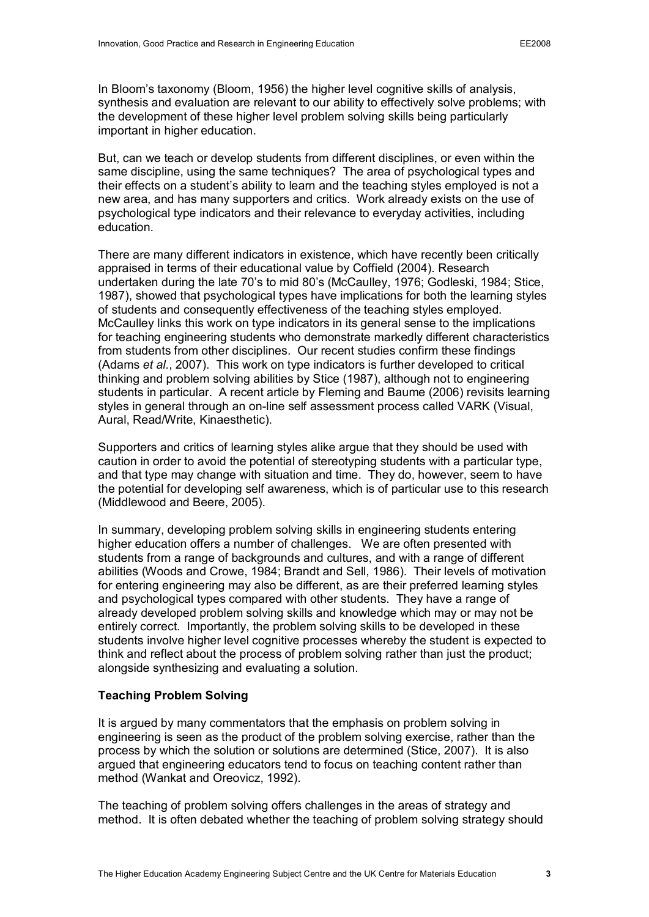In Bloom's taxonomy (Bloom, 1956) the higher level cognitive skills of analysis, synthesis and evaluation are relevant to our ability to effectively solve problems; with the development of these higher level problem solving skills being particularly important in higher education.

But, can we teach or develop students from different disciplines, or even within the same discipline, using the same techniques? The area of psychological types and their effects on a student's ability to learn and the teaching styles employed is not a new area, and has many supporters and critics. Work already exists on the use of psychological type indicators and their relevance to everyday activities, including education.

There are many different indicators in existence, which have recently been critically appraised in terms of their educational value by Coffield (2004). Research undertaken during the late 70's to mid 80's (McCaulley, 1976; Godleski, 1984; Stice, 1987), showed that psychological types have implications for both the learning styles of students and consequently effectiveness of the teaching styles employed. McCaulley links this work on type indicators in its general sense to the implications for teaching engineering students who demonstrate markedly different characteristics from students from other disciplines. Our recent studies confirm these findings (Adams *et al.*, 2007). This work on type indicators is further developed to critical thinking and problem solving abilities by Stice (1987), although not to engineering students in particular. A recent article by Fleming and Baume (2006) revisits learning styles in general through an on-line self assessment process called VARK (Visual, Aural, Read/Write, Kinaesthetic).

Supporters and critics of learning styles alike argue that they should be used with caution in order to avoid the potential of stereotyping students with a particular type, and that type may change with situation and time. They do, however, seem to have the potential for developing self awareness, which is of particular use to this research (Middlewood and Beere, 2005).

In summary, developing problem solving skills in engineering students entering higher education offers a number of challenges. We are often presented with students from a range of backgrounds and cultures, and with a range of different abilities (Woods and Crowe, 1984; Brandt and Sell, 1986). Their levels of motivation for entering engineering may also be different, as are their preferred learning styles and psychological types compared with other students. They have a range of already developed problem solving skills and knowledge which may or may not be entirely correct. Importantly, the problem solving skills to be developed in these students involve higher level cognitive processes whereby the student is expected to think and reflect about the process of problem solving rather than just the product; alongside synthesizing and evaluating a solution.

#### **Teaching Problem Solving**

It is argued by many commentators that the emphasis on problem solving in engineering is seen as the product of the problem solving exercise, rather than the process by which the solution or solutions are determined (Stice, 2007). It is also argued that engineering educators tend to focus on teaching content rather than method (Wankat and Oreovicz, 1992).

The teaching of problem solving offers challenges in the areas of strategy and method. It is often debated whether the teaching of problem solving strategy should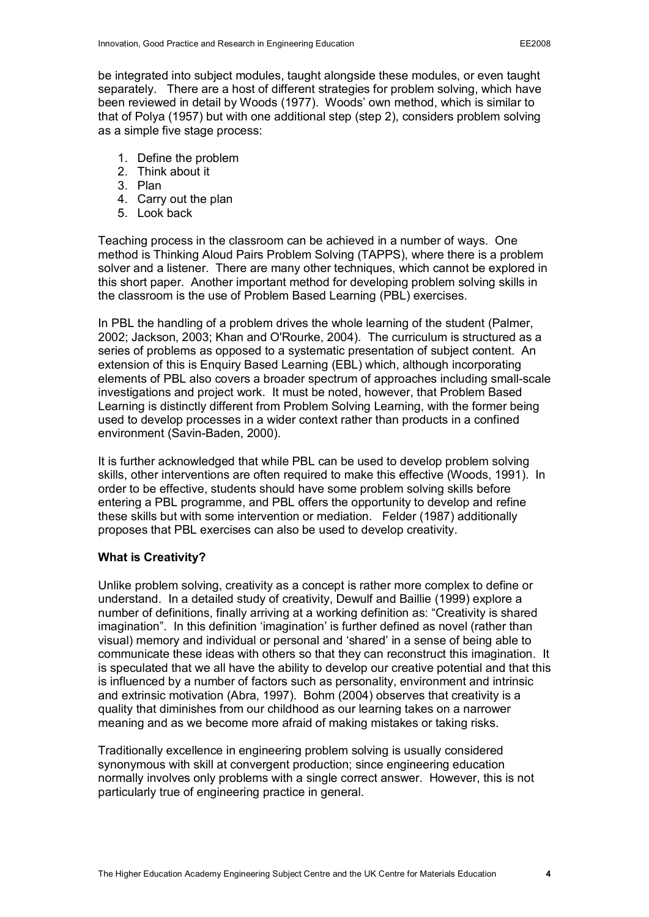be integrated into subject modules, taught alongside these modules, or even taught separately. There are a host of different strategies for problem solving, which have been reviewed in detail by Woods (1977). Woods' own method, which is similar to that of Polya (1957) but with one additional step (step 2), considers problem solving as a simple five stage process:

- 1. Define the problem
- 2. Think about it
- 3. Plan
- 4. Carry out the plan
- 5. Look back

Teaching process in the classroom can be achieved in a number of ways. One method is Thinking Aloud Pairs Problem Solving (TAPPS), where there is a problem solver and a listener. There are many other techniques, which cannot be explored in this short paper. Another important method for developing problem solving skills in the classroom is the use of Problem Based Learning (PBL) exercises.

In PBL the handling of a problem drives the whole learning of the student (Palmer, 2002; Jackson, 2003; Khan and O'Rourke, 2004). The curriculum is structured as a series of problems as opposed to a systematic presentation of subject content. An extension of this is Enquiry Based Learning (EBL) which, although incorporating elements of PBL also covers a broader spectrum of approaches including small-scale investigations and project work. It must be noted, however, that Problem Based Learning is distinctly different from Problem Solving Learning, with the former being used to develop processes in a wider context rather than products in a confined environment (Savin-Baden, 2000).

It is further acknowledged that while PBL can be used to develop problem solving skills, other interventions are often required to make this effective (Woods, 1991). In order to be effective, students should have some problem solving skills before entering a PBL programme, and PBL offers the opportunity to develop and refine these skills but with some intervention or mediation. Felder (1987) additionally proposes that PBL exercises can also be used to develop creativity.

### **What is Creativity?**

Unlike problem solving, creativity as a concept is rather more complex to define or understand. In a detailed study of creativity, Dewulf and Baillie (1999) explore a number of definitions, finally arriving at a working definition as: "Creativity is shared imagination". In this definition 'imagination' is further defined as novel (rather than visual) memory and individual or personal and 'shared' in a sense of being able to communicate these ideas with others so that they can reconstruct this imagination. It is speculated that we all have the ability to develop our creative potential and that this is influenced by a number of factors such as personality, environment and intrinsic and extrinsic motivation (Abra, 1997). Bohm (2004) observes that creativity is a quality that diminishes from our childhood as our learning takes on a narrower meaning and as we become more afraid of making mistakes or taking risks.

Traditionally excellence in engineering problem solving is usually considered synonymous with skill at convergent production; since engineering education normally involves only problems with a single correct answer. However, this is not particularly true of engineering practice in general.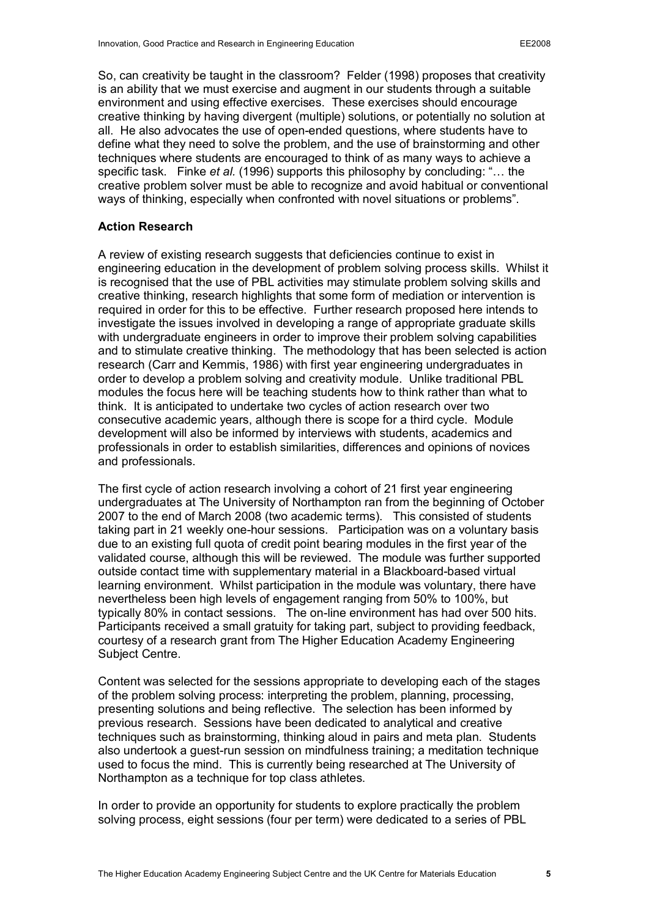So, can creativity be taught in the classroom? Felder (1998) proposes that creativity is an ability that we must exercise and augment in our students through a suitable environment and using effective exercises. These exercises should encourage creative thinking by having divergent (multiple) solutions, or potentially no solution at all. He also advocates the use of openended questions, where students have to define what they need to solve the problem, and the use of brainstorming and other techniques where students are encouraged to think of as many ways to achieve a specific task. Finke *et al.* (1996) supports this philosophy by concluding: "… the creative problem solver must be able to recognize and avoid habitual or conventional ways of thinking, especially when confronted with novel situations or problems".

### **Action Research**

A review of existing research suggests that deficiencies continue to exist in engineering education in the development of problem solving process skills. Whilst it is recognised that the use of PBL activities may stimulate problem solving skills and creative thinking, research highlights that some form of mediation or intervention is required in order for this to be effective. Further research proposed here intends to investigate the issues involved in developing a range of appropriate graduate skills with undergraduate engineers in order to improve their problem solving capabilities and to stimulate creative thinking. The methodology that has been selected is action research (Carr and Kemmis, 1986) with first year engineering undergraduates in order to develop a problem solving and creativity module. Unlike traditional PBL modules the focus here will be teaching students how to think rather than what to think. It is anticipated to undertake two cycles of action research over two consecutive academic years, although there is scope for a third cycle. Module development will also be informed by interviews with students, academics and professionals in order to establish similarities, differences and opinions of novices and professionals.

The first cycle of action research involving a cohort of 21 first year engineering undergraduates at The University of Northampton ran from the beginning of October 2007 to the end of March 2008 (two academic terms). This consisted of students taking part in 21 weekly one-hour sessions. Participation was on a voluntary basis due to an existing full quota of credit point bearing modules in the first year of the validated course, although this will be reviewed. The module was further supported outside contact time with supplementary material in a Blackboard-based virtual learning environment. Whilst participation in the module was voluntary, there have nevertheless been high levels of engagement ranging from 50% to 100%, but typically 80% in contact sessions. The on-line environment has had over 500 hits. Participants received a small gratuity for taking part, subject to providing feedback, courtesy of a research grant from The Higher Education Academy Engineering Subject Centre.

Content was selected for the sessions appropriate to developing each of the stages of the problem solving process: interpreting the problem, planning, processing, presenting solutions and being reflective. The selection has been informed by previous research. Sessions have been dedicated to analytical and creative techniques such as brainstorming, thinking aloud in pairs and meta plan. Students also undertook a quest-run session on mindfulness training; a meditation technique used to focus the mind. This is currently being researched at The University of Northampton as a technique for top class athletes.

In order to provide an opportunity for students to explore practically the problem solving process, eight sessions (four per term) were dedicated to a series of PBL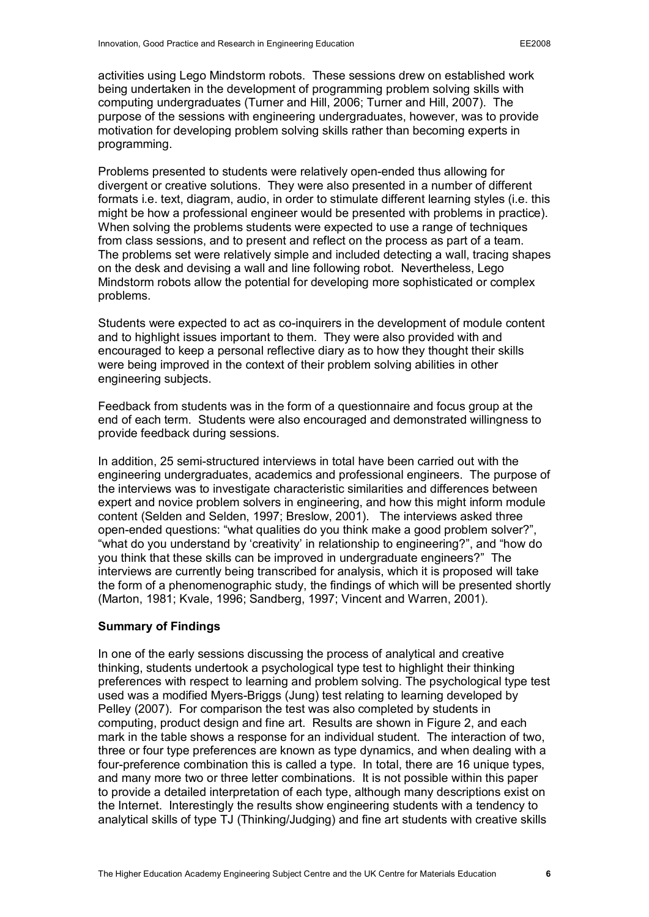activities using Lego Mindstorm robots. These sessions drew on established work being undertaken in the development of programming problem solving skills with computing undergraduates (Turner and Hill, 2006; Turner and Hill, 2007). The purpose of the sessions with engineering undergraduates, however, was to provide motivation for developing problem solving skills rather than becoming experts in programming.

Problems presented to students were relatively open-ended thus allowing for divergent or creative solutions. They were also presented in a number of different formats i.e. text, diagram, audio, in order to stimulate different learning styles (i.e. this might be how a professional engineer would be presented with problems in practice). When solving the problems students were expected to use a range of techniques from class sessions, and to present and reflect on the process as part of a team. The problems set were relatively simple and included detecting a wall, tracing shapes on the desk and devising a wall and line following robot. Nevertheless, Lego Mindstorm robots allow the potential for developing more sophisticated or complex problems.

Students were expected to act as co-inquirers in the development of module content and to highlight issues important to them. They were also provided with and encouraged to keep a personal reflective diary as to how they thought their skills were being improved in the context of their problem solving abilities in other engineering subjects.

Feedback from students was in the form of a questionnaire and focus group at the end of each term. Students were also encouraged and demonstrated willingness to provide feedback during sessions.

In addition, 25 semi-structured interviews in total have been carried out with the engineering undergraduates, academics and professional engineers. The purpose of the interviews was to investigate characteristic similarities and differences between expert and novice problem solvers in engineering, and how this might inform module content (Selden and Selden, 1997; Breslow, 2001). The interviews asked three open-ended questions: "what qualities do you think make a good problem solver?", "what do you understand by 'creativity' in relationship to engineering?", and "how do you think that these skills can be improved in undergraduate engineers?" The interviews are currently being transcribed for analysis, which it is proposed will take the form of a phenomenographic study, the findings of which will be presented shortly (Marton, 1981; Kvale, 1996; Sandberg, 1997; Vincent and Warren, 2001).

### **Summary of Findings**

In one of the early sessions discussing the process of analytical and creative thinking, students undertook a psychological type test to highlight their thinking preferences with respect to learning and problem solving. The psychological type test used was a modified Myers-Briggs (Jung) test relating to learning developed by Pelley (2007). For comparison the test was also completed by students in computing, product design and fine art. Results are shown in Figure 2, and each mark in the table shows a response for an individual student. The interaction of two, three or four type preferences are known as type dynamics, and when dealing with a four-preference combination this is called a type. In total, there are 16 unique types, and many more two or three letter combinations. It is not possible within this paper to provide a detailed interpretation of each type, although many descriptions exist on the Internet. Interestingly the results show engineering students with a tendency to analytical skills of type TJ (Thinking/Judging) and fine art students with creative skills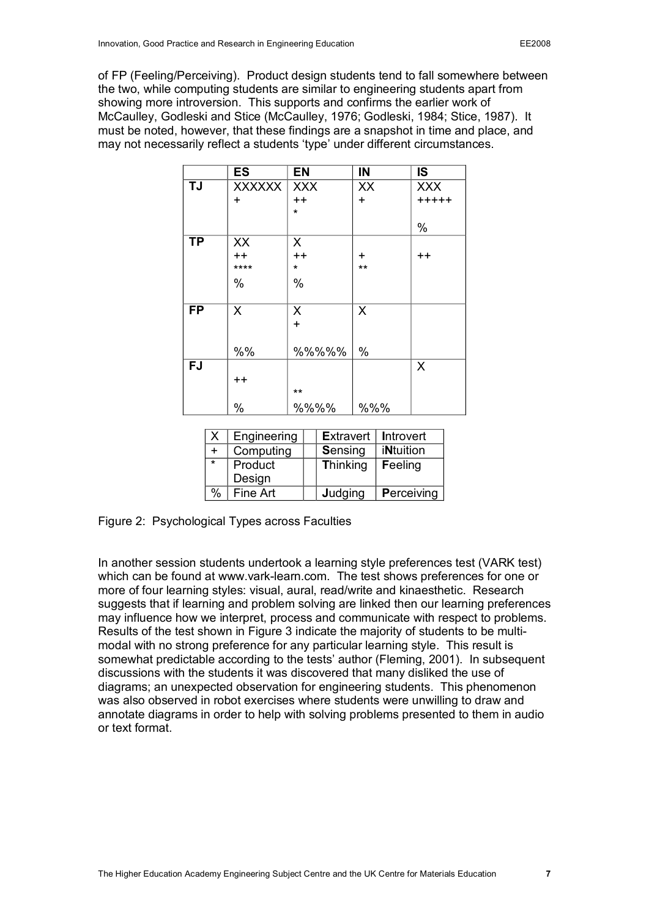of FP (Feeling/Perceiving). Product design students tend to fall somewhere between the two, while computing students are similar to engineering students apart from showing more introversion. This supports and confirms the earlier work of McCaulley, Godleski and Stice (McCaulley, 1976; Godleski, 1984; Stice, 1987). It must be noted, however, that these findings are a snapshot in time and place, and may not necessarily reflect a students 'type' under different circumstances.

|           | <b>ES</b>       | <b>EN</b>     | IN    | <b>IS</b>       |
|-----------|-----------------|---------------|-------|-----------------|
| <b>TJ</b> | <b>XXXXXX</b>   | <b>XXX</b>    | XX    | <b>XXX</b>      |
|           | $\ddot{}$       | $++$          | $+$   | $+++++$         |
|           |                 | $\star$       |       |                 |
|           |                 |               |       | %               |
| <b>TP</b> | XX              | X             |       |                 |
|           | $++$            | $++$          | ÷     | $^{\mathrm{+}}$ |
|           | ****            | $\star$       | $***$ |                 |
|           | %               | $\frac{0}{0}$ |       |                 |
|           |                 |               |       |                 |
| <b>FP</b> | X               | X             | X     |                 |
|           |                 | $\ddot{}$     |       |                 |
|           |                 |               |       |                 |
|           | %%              | %%%%%         | %     |                 |
| FJ        |                 |               |       | X               |
|           | $^{\mathrm{+}}$ |               |       |                 |
|           |                 | $***$         |       |                 |
|           | %               | %%%%          | %%%   |                 |

| Χ       | Engineering | <b>Extravert</b> | <b>Introvert</b> |
|---------|-------------|------------------|------------------|
|         | Computing   | Sensing          | <b>iNtuition</b> |
| $\star$ | Product     | <b>Thinking</b>  | Feeling          |
|         | Design      |                  |                  |
|         | Fine Art    | Judging          | Perceiving       |

Figure 2: Psychological Types across Faculties

In another session students undertook a learning style preferences test (VARK test) which can be found at www.vark-learn.com. The test shows preferences for one or more of four learning styles: visual, aural, read/write and kinaesthetic. Research suggests that if learning and problem solving are linked then our learning preferences may influence how we interpret, process and communicate with respect to problems. Results of the test shown in Figure 3 indicate the majority of students to be multimodal with no strong preference for any particular learning style. This result is somewhat predictable according to the tests' author (Fleming, 2001). In subsequent discussions with the students it was discovered that many disliked the use of diagrams; an unexpected observation for engineering students. This phenomenon was also observed in robot exercises where students were unwilling to draw and annotate diagrams in order to help with solving problems presented to them in audio or text format.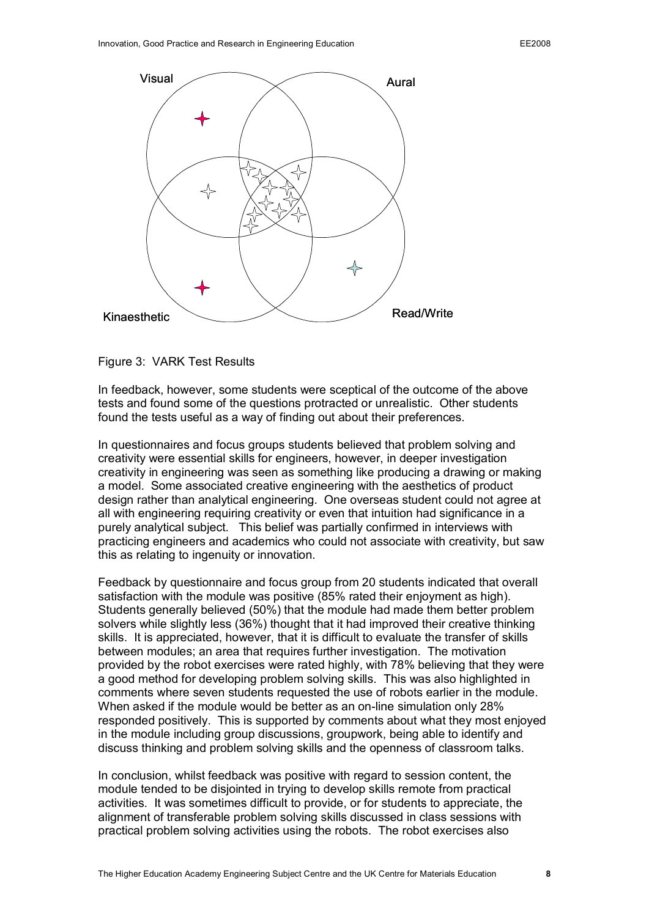

Figure 3: VARK Test Results

In feedback, however, some students were sceptical of the outcome of the above tests and found some of the questions protracted or unrealistic. Other students found the tests useful as a way of finding out about their preferences.

In questionnaires and focus groups students believed that problem solving and creativity were essential skills for engineers, however, in deeper investigation creativity in engineering was seen as something like producing a drawing or making a model. Some associated creative engineering with the aesthetics of product design rather than analytical engineering. One overseas student could not agree at all with engineering requiring creativity or even that intuition had significance in a purely analytical subject. This belief was partially confirmed in interviews with practicing engineers and academics who could not associate with creativity, but saw this as relating to ingenuity or innovation.

Feedback by questionnaire and focus group from 20 students indicated that overall satisfaction with the module was positive (85% rated their enjoyment as high). Students generally believed (50%) that the module had made them better problem solvers while slightly less (36%) thought that it had improved their creative thinking skills. It is appreciated, however, that it is difficult to evaluate the transfer of skills between modules; an area that requires further investigation. The motivation provided by the robot exercises were rated highly, with 78% believing that they were a good method for developing problem solving skills. This was also highlighted in comments where seven students requested the use of robots earlier in the module. When asked if the module would be better as an on-line simulation only 28% responded positively. This is supported by comments about what they most enjoyed in the module including group discussions, groupwork, being able to identify and discuss thinking and problem solving skills and the openness of classroom talks.

In conclusion, whilst feedback was positive with regard to session content, the module tended to be disjointed in trying to develop skills remote from practical activities. It was sometimes difficult to provide, or for students to appreciate, the alignment of transferable problem solving skills discussed in class sessions with practical problem solving activities using the robots. The robot exercises also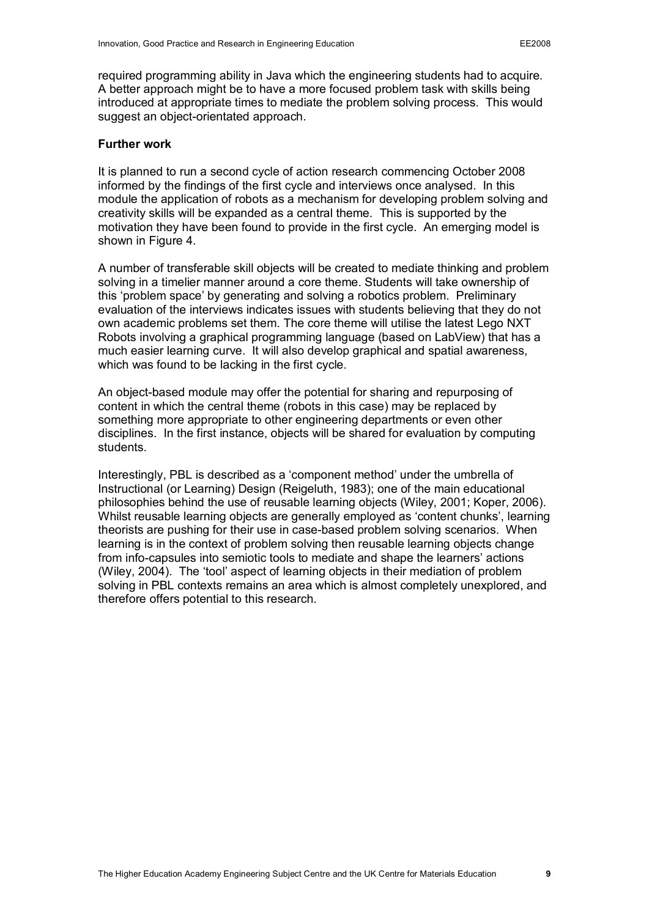required programming ability in Java which the engineering students had to acquire. A better approach might be to have a more focused problem task with skills being introduced at appropriate times to mediate the problem solving process. This would suggest an object-orientated approach.

#### **Further work**

It is planned to run a second cycle of action research commencing October 2008 informed by the findings of the first cycle and interviews once analysed. In this module the application of robots as a mechanism for developing problem solving and creativity skills will be expanded as a central theme. This is supported by the motivation they have been found to provide in the first cycle. An emerging model is shown in Figure 4.

A number of transferable skill objects will be created to mediate thinking and problem solving in a timelier manner around a core theme. Students will take ownership of this 'problem space' by generating and solving a robotics problem. Preliminary evaluation of the interviews indicates issues with students believing that they do not own academic problems set them. The core theme will utilise the latest Lego NXT Robots involving a graphical programming language (based on LabView) that has a much easier learning curve. It will also develop graphical and spatial awareness, which was found to be lacking in the first cycle.

An object-based module may offer the potential for sharing and repurposing of content in which the central theme (robots in this case) may be replaced by something more appropriate to other engineering departments or even other disciplines. In the first instance, objects will be shared for evaluation by computing students.

Interestingly, PBL is described as a 'component method' under the umbrella of Instructional (or Learning) Design (Reigeluth, 1983); one of the main educational philosophies behind the use of reusable learning objects (Wiley, 2001; Koper, 2006). Whilst reusable learning objects are generally employed as 'content chunks', learning theorists are pushing for their use in case-based problem solving scenarios. When learning is in the context of problem solving then reusable learning objects change from infocapsules into semiotic tools to mediate and shape the learners' actions (Wiley, 2004). The 'tool' aspect of learning objects in their mediation of problem solving in PBL contexts remains an area which is almost completely unexplored, and therefore offers potential to this research.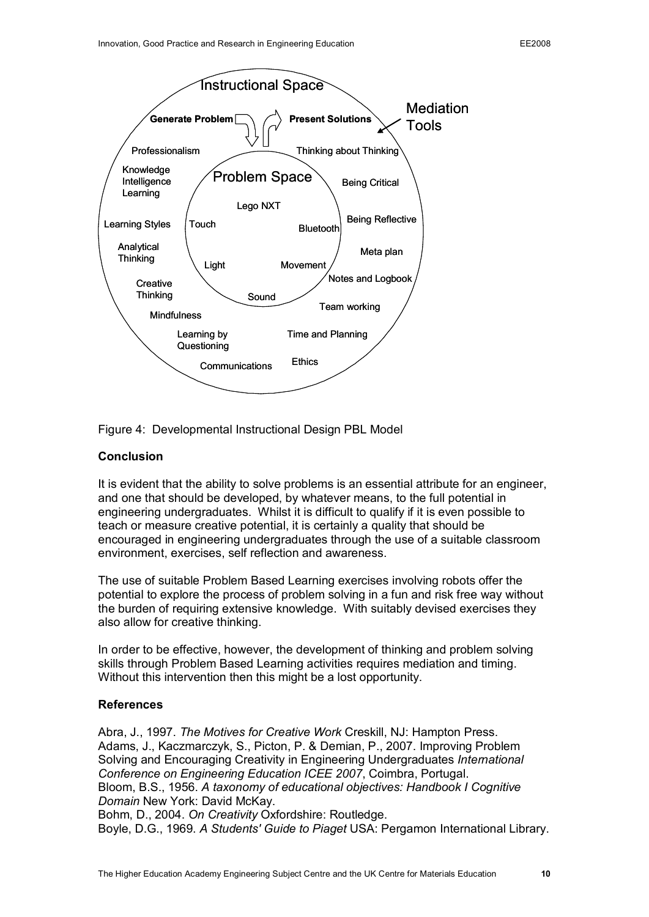

Figure 4: Developmental Instructional Design PBL Model

## **Conclusion**

It is evident that the ability to solve problems is an essential attribute for an engineer, and one that should be developed, by whatever means, to the full potential in engineering undergraduates. Whilst it is difficult to qualify if it is even possible to teach or measure creative potential, it is certainly a quality that should be encouraged in engineering undergraduates through the use of a suitable classroom environment, exercises, self reflection and awareness.

The use of suitable Problem Based Learning exercises involving robots offer the potential to explore the process of problem solving in a fun and risk free way without the burden of requiring extensive knowledge. With suitably devised exercises they also allow for creative thinking.

In order to be effective, however, the development of thinking and problem solving skills through Problem Based Learning activities requires mediation and timing. Without this intervention then this might be a lost opportunity.

## **References**

Abra, J., 1997. *The Motives for Creative Work* Creskill, NJ: Hampton Press. Adams, J., Kaczmarczyk, S., Picton, P. & Demian, P., 2007. Improving Problem Solving and Encouraging Creativity in Engineering Undergraduates *International Conference on Engineering Education ICEE 2007*, Coimbra, Portugal. Bloom, B.S., 1956. *A taxonomy of educational objectives: Handbook I Cognitive Domain* New York: David McKay.

Bohm, D., 2004. *On Creativity* Oxfordshire: Routledge. Boyle, D.G., 1969. *A Students' Guide to Piaget* USA: Pergamon International Library.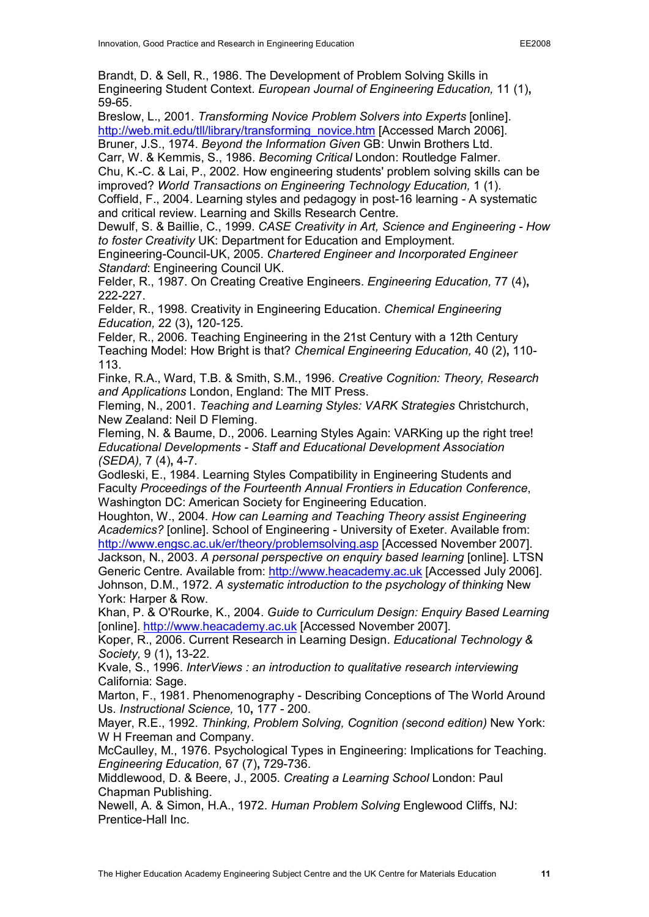Brandt, D. & Sell, R., 1986. The Development of Problem Solving Skills in Engineering Student Context. *European Journal of Engineering Education,* 11 (1)**,** 59-65.

Breslow, L., 2001. *Transforming Novice Problem Solvers into Experts* [online]. [http://web.mit.edu/tll/library/transforming\\_novice.htm](http://web.mit.edu/tll/library/transforming_novice.htm) [Accessed March 2006]. Bruner, J.S., 1974. *Beyond the Information Given* GB: Unwin Brothers Ltd.

Carr, W. & Kemmis, S., 1986. *Becoming Critical* London: Routledge Falmer. Chu, K.C. & Lai, P., 2002. How engineering students' problem solving skills can be improved? *World Transactions on Engineering Technology Education,* 1 (1).

Coffield, F., 2004. Learning styles and pedagogy in post-16 learning - A systematic and critical review. Learning and Skills Research Centre.

Dewulf, S. & Baillie, C., 1999. *CASE Creativity in Art, Science and Engineering How to foster Creativity* UK: Department for Education and Employment.

Engineering-Council-UK, 2005. *Chartered Engineer and Incorporated Engineer Standard*: Engineering Council UK.

Felder, R., 1987. On Creating Creative Engineers. *Engineering Education,* 77 (4)**,** 222227.

Felder, R., 1998. Creativity in Engineering Education. *Chemical Engineering Education, 22 (3), 120-125.* 

Felder, R., 2006. Teaching Engineering in the 21st Century with a 12th Century Teaching Model: How Bright is that? *Chemical Engineering Education,* 40 (2)**,** 110 113.

Finke, R.A., Ward, T.B. & Smith, S.M., 1996. *Creative Cognition: Theory, Research and Applications* London, England: The MIT Press.

Fleming, N., 2001. *Teaching and Learning Styles: VARK Strategies* Christchurch, New Zealand: Neil D Fleming.

Fleming, N. & Baume, D., 2006. Learning Styles Again: VARKing up the right tree! *Educational Developments Staff and Educational Development Association (SEDA),* 7 (4), 4-7.

Godleski, E., 1984. Learning Styles Compatibility in Engineering Students and Faculty *Proceedings of the Fourteenth Annual Frontiers in Education Conference*, Washington DC: American Society for Engineering Education.

Houghton, W., 2004. *How can Learning and Teaching Theory assist Engineering* Academics? [online]. School of Engineering - University of Exeter. Available from: <http://www.engsc.ac.uk/er/theory/problemsolving.asp> [Accessed November 2007].

Jackson, N., 2003. *A personal perspective on enquiry based learning* [online]. LTSN Generic Centre. Available from: [http://www.heacademy.ac.uk](http://www.heacademy.ac.uk/) [Accessed July 2006]. Johnson, D.M., 1972. *A systematic introduction to the psychology of thinking* New York: Harper & Row.

Khan, P. & O'Rourke, K., 2004. *Guide to Curriculum Design: Enquiry Based Learning* [online]. [http://www.heacademy.ac.uk](http://www.heacademy.ac.uk/) [Accessed November 2007].

Koper, R., 2006. Current Research in Learning Design. *Educational Technology & Society*, 9 (1), 13-22.

Kvale, S., 1996. *InterViews : an introduction to qualitative research interviewing* California: Sage.

Marton, F., 1981. Phenomenography - Describing Conceptions of The World Around Us. *Instructional Science,* 10**,** 177 200.

Mayer, R.E., 1992. *Thinking, Problem Solving, Cognition (second edition)* New York: W H Freeman and Company.

McCaulley, M., 1976. Psychological Types in Engineering: Implications for Teaching. *Engineering Education, 67 (7), 729-736.* 

Middlewood, D. & Beere, J., 2005. *Creating a Learning School* London: Paul Chapman Publishing.

Newell, A. & Simon, H.A., 1972. *Human Problem Solving* Englewood Cliffs, NJ: Prentice-Hall Inc.